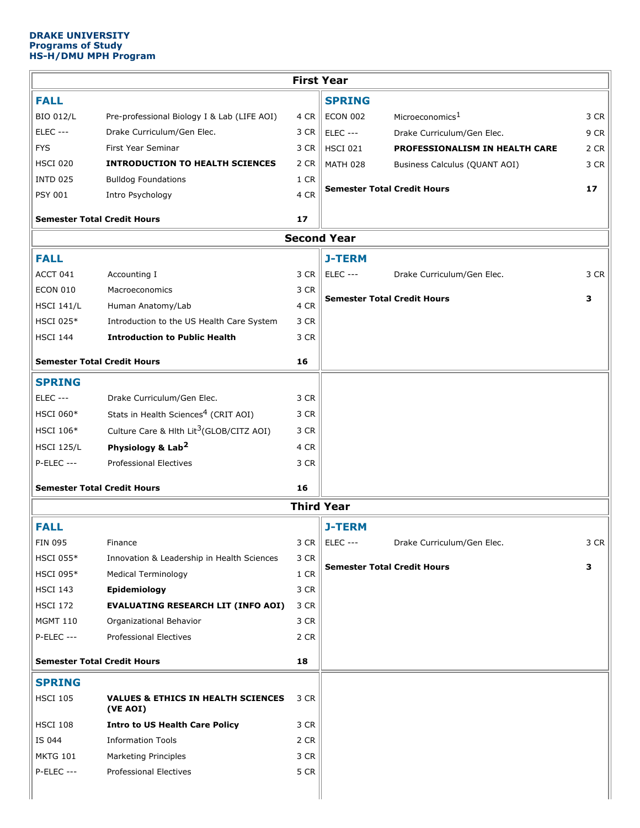# **DRAKE UNIVERSITY Programs of Study HS-H/DMU MPH Program**

| <b>First Year</b>                  |                                                           |      |                                                   |      |  |  |  |  |  |
|------------------------------------|-----------------------------------------------------------|------|---------------------------------------------------|------|--|--|--|--|--|
| <b>FALL</b>                        |                                                           |      | <b>SPRING</b>                                     |      |  |  |  |  |  |
| <b>BIO 012/L</b>                   | Pre-professional Biology I & Lab (LIFE AOI)               | 4 CR | <b>ECON 002</b><br>Microeconomics <sup>1</sup>    | 3 CR |  |  |  |  |  |
| <b>ELEC ---</b>                    | Drake Curriculum/Gen Elec.                                | 3 CR | <b>ELEC ---</b><br>Drake Curriculum/Gen Elec.     | 9 CR |  |  |  |  |  |
| <b>FYS</b>                         | First Year Seminar                                        | 3 CR | <b>HSCI 021</b><br>PROFESSIONALISM IN HEALTH CARE | 2 CR |  |  |  |  |  |
| <b>HSCI 020</b>                    | <b>INTRODUCTION TO HEALTH SCIENCES</b>                    | 2 CR | <b>MATH 028</b><br>Business Calculus (QUANT AOI)  | 3 CR |  |  |  |  |  |
| <b>INTD 025</b>                    | <b>Bulldog Foundations</b>                                | 1 CR |                                                   |      |  |  |  |  |  |
| <b>PSY 001</b>                     | Intro Psychology                                          | 4 CR | <b>Semester Total Credit Hours</b>                | 17   |  |  |  |  |  |
| <b>Semester Total Credit Hours</b> |                                                           |      |                                                   |      |  |  |  |  |  |
| <b>Second Year</b>                 |                                                           |      |                                                   |      |  |  |  |  |  |
| <b>FALL</b>                        |                                                           |      | <b>J-TERM</b>                                     |      |  |  |  |  |  |
| ACCT 041                           | Accounting I                                              | 3 CR | <b>ELEC ---</b><br>Drake Curriculum/Gen Elec.     | 3 CR |  |  |  |  |  |
| <b>ECON 010</b>                    | Macroeconomics                                            | 3 CR |                                                   |      |  |  |  |  |  |
| <b>HSCI 141/L</b>                  | Human Anatomy/Lab                                         | 4 CR | <b>Semester Total Credit Hours</b>                | з    |  |  |  |  |  |
| <b>HSCI 025*</b>                   | Introduction to the US Health Care System                 | 3 CR |                                                   |      |  |  |  |  |  |
| <b>HSCI 144</b>                    | <b>Introduction to Public Health</b>                      | 3 CR |                                                   |      |  |  |  |  |  |
| <b>Semester Total Credit Hours</b> |                                                           | 16   |                                                   |      |  |  |  |  |  |
| <b>SPRING</b>                      |                                                           |      |                                                   |      |  |  |  |  |  |
| <b>ELEC ---</b>                    | Drake Curriculum/Gen Elec.                                | 3 CR |                                                   |      |  |  |  |  |  |
| <b>HSCI 060*</b>                   | Stats in Health Sciences <sup>4</sup> (CRIT AOI)          | 3 CR |                                                   |      |  |  |  |  |  |
| HSCI 106*                          | Culture Care & Hlth Lit <sup>3</sup> (GLOB/CITZ AOI)      | 3 CR |                                                   |      |  |  |  |  |  |
| <b>HSCI 125/L</b>                  | Physiology & Lab <sup>2</sup>                             | 4 CR |                                                   |      |  |  |  |  |  |
|                                    | <b>Professional Electives</b>                             |      |                                                   |      |  |  |  |  |  |
| <b>P-ELEC ---</b>                  |                                                           | 3 CR |                                                   |      |  |  |  |  |  |
| <b>Semester Total Credit Hours</b> |                                                           | 16   |                                                   |      |  |  |  |  |  |
|                                    |                                                           |      | <b>Third Year</b>                                 |      |  |  |  |  |  |
| <b>FALL</b>                        |                                                           |      | <b>J-TERM</b>                                     |      |  |  |  |  |  |
| <b>FIN 095</b>                     | Finance                                                   | 3 CR | <b>ELEC ---</b><br>Drake Curriculum/Gen Elec.     | 3 CR |  |  |  |  |  |
| <b>HSCI 055*</b>                   | Innovation & Leadership in Health Sciences                | 3 CR |                                                   |      |  |  |  |  |  |
| <b>HSCI 095*</b>                   | <b>Medical Terminology</b>                                | 1 CR | <b>Semester Total Credit Hours</b>                | 3    |  |  |  |  |  |
| <b>HSCI 143</b>                    | Epidemiology                                              | 3 CR |                                                   |      |  |  |  |  |  |
| <b>HSCI 172</b>                    | <b>EVALUATING RESEARCH LIT (INFO AOI)</b>                 | 3 CR |                                                   |      |  |  |  |  |  |
| <b>MGMT 110</b>                    | Organizational Behavior                                   | 3 CR |                                                   |      |  |  |  |  |  |
| <b>P-ELEC ---</b>                  | <b>Professional Electives</b>                             | 2 CR |                                                   |      |  |  |  |  |  |
| <b>Semester Total Credit Hours</b> |                                                           | 18   |                                                   |      |  |  |  |  |  |
| <b>SPRING</b>                      |                                                           |      |                                                   |      |  |  |  |  |  |
| <b>HSCI 105</b>                    | <b>VALUES &amp; ETHICS IN HEALTH SCIENCES</b><br>(VE AOI) | 3 CR |                                                   |      |  |  |  |  |  |
| <b>HSCI 108</b>                    | <b>Intro to US Health Care Policy</b>                     | 3 CR |                                                   |      |  |  |  |  |  |
| IS 044                             | <b>Information Tools</b>                                  | 2 CR |                                                   |      |  |  |  |  |  |
| <b>MKTG 101</b>                    | <b>Marketing Principles</b>                               | 3 CR |                                                   |      |  |  |  |  |  |
| $P-ELEC$ ---                       | <b>Professional Electives</b>                             | 5 CR |                                                   |      |  |  |  |  |  |
|                                    |                                                           |      |                                                   |      |  |  |  |  |  |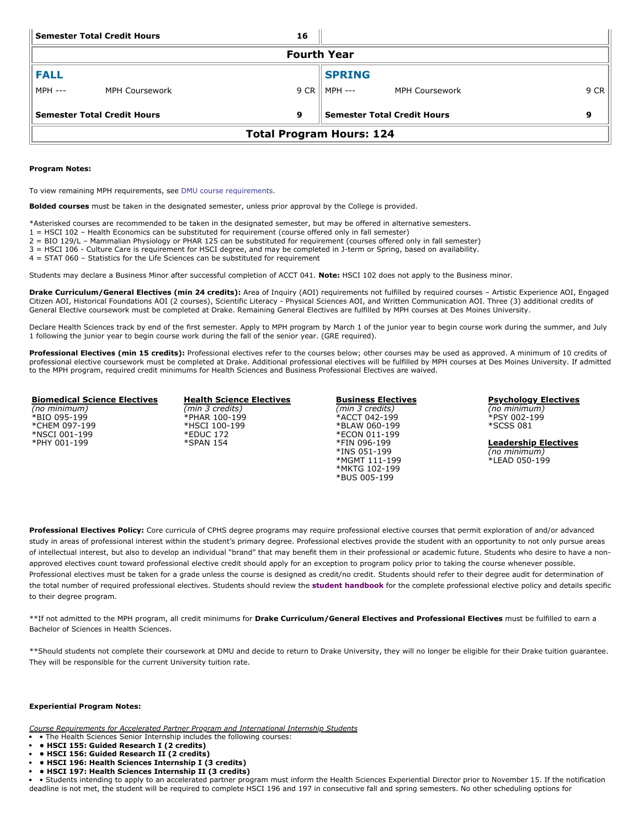| <b>Semester Total Credit Hours</b><br>16 |                |                                    |                 |                       |      |  |  |  |  |
|------------------------------------------|----------------|------------------------------------|-----------------|-----------------------|------|--|--|--|--|
| <b>Fourth Year</b>                       |                |                                    |                 |                       |      |  |  |  |  |
| <b>FALL</b>                              |                |                                    | <b>SPRING</b>   |                       |      |  |  |  |  |
| <b>MPH ---</b>                           | MPH Coursework |                                    | 9 CR    MPH --- | <b>MPH Coursework</b> | 9 CR |  |  |  |  |
| <b>Semester Total Credit Hours</b><br>9  |                | <b>Semester Total Credit Hours</b> |                 | 9                     |      |  |  |  |  |
| <b>Total Program Hours: 124</b>          |                |                                    |                 |                       |      |  |  |  |  |

### **Program Notes:**

To view remaining MPH requirements, see DMU course [requirements.](https://catalog.dmu.edu/health-sciences/public-health-mph/#coursestext)

**Bolded courses** must be taken in the designated semester, unless prior approval by the College is provided.

- \*Asterisked courses are recommended to be taken in the designated semester, but may be offered in alternative semesters.
- 1 = HSCI 102 Health Economics can be substituted for requirement (course offered only in fall semester)
- 2 = BIO 129/L Mammalian Physiology or PHAR 125 can be substituted for requirement (courses offered only in fall semester)
- 3 = HSCI 106 Culture Care is requirement for HSCI degree, and may be completed in J-term or Spring, based on availability.
- 4 = STAT 060 Statistics for the Life Sciences can be substituted for requirement

Students may declare a Business Minor after successful completion of ACCT 041. **Note:** HSCI 102 does not apply to the Business minor.

**Drake Curriculum/General Electives (min 24 credits):** Area of Inquiry (AOI) requirements not fulfilled by required courses – Artistic Experience AOI, Engaged Citizen AOI, Historical Foundations AOI (2 courses), Scientific Literacy - Physical Sciences AOI, and Written Communication AOI. Three (3) additional credits of General Elective coursework must be completed at Drake. Remaining General Electives are fulfilled by MPH courses at Des Moines University.

Declare Health Sciences track by end of the first semester. Apply to MPH program by March 1 of the junior year to begin course work during the summer, and July 1 following the junior year to begin course work during the fall of the senior year. (GRE required).

Professional Electives (min 15 credits): Professional electives refer to the courses below; other courses may be used as approved. A minimum of 10 credits of professional elective coursework must be completed at Drake. Additional professional electives will be fulfilled by MPH courses at Des Moines University. If admitted to the MPH program, required credit minimums for Health Sciences and Business Professional Electives are waived.

### **Biomedical Science Electives**

*(no minimum)* \*BIO 095-199 \*CHEM 097-199 \*NSCI 001-199 \*PHY 001-199

- **Health Science Electives** *(min 3 credits)*  \*PHAR 100-199 \*HSCI 100-199 \*EDUC 172 \*SPAN 154
- **Business Electives** *(min 3 credits)* \*ACCT 042-199 \*BLAW 060-199 \*ECON 011-199 \*FIN 096-199 \*INS 051-199 \*MGMT 111-199 \*MKTG 102-199 \*BUS 005-199

**Psychology Electives** *(no minimum)* \*PSY 002-199 \*SCSS 081

**Leadership Electives** *(no minimum)* \*LEAD 050-199

**Professional Electives Policy:** Core curricula of CPHS degree programs may require professional elective courses that permit exploration of and/or advanced study in areas of professional interest within the student's primary degree. Professional electives provide the student with an opportunity to not only pursue areas of intellectual interest, but also to develop an individual "brand" that may benefit them in their professional or academic future. Students who desire to have a nonapproved electives count toward professional elective credit should apply for an exception to program policy prior to taking the course whenever possible. Professional electives must be taken for a grade unless the course is designed as credit/no credit. Students should refer to their degree audit for determination of the total number of required professional electives. Students should review the **[student handbook](https://www.drake.edu/cphs/handbookspolicies/)** for the complete professional elective policy and details specific to their degree program.

\*\*If not admitted to the MPH program, all credit minimums for **Drake Curriculum/General Electives and Professional Electives** must be fulfilled to earn a Bachelor of Sciences in Health Sciences.

\*\*Should students not complete their coursework at DMU and decide to return to Drake University, they will no longer be eligible for their Drake tuition guarantee. They will be responsible for the current University tuition rate.

## **Experiential Program Notes:**

*Course Requirements for Accelerated Partner Program and International Internship Students*

- The Health Sciences Senior Internship includes the following courses:
- **• HSCI 155: Guided Research I (2 credits)**
- **• HSCI 156: Guided Research II (2 credits)**
- **• HSCI 196: Health Sciences Internship I (3 credits)**
- **• HSCI 197: Health Sciences Internship II (3 credits)**

• Students intending to apply to an accelerated partner program must inform the Health Sciences Experiential Director prior to November 15. If the notification deadline is not met, the student will be required to complete HSCI 196 and 197 in consecutive fall and spring semesters. No other scheduling options for